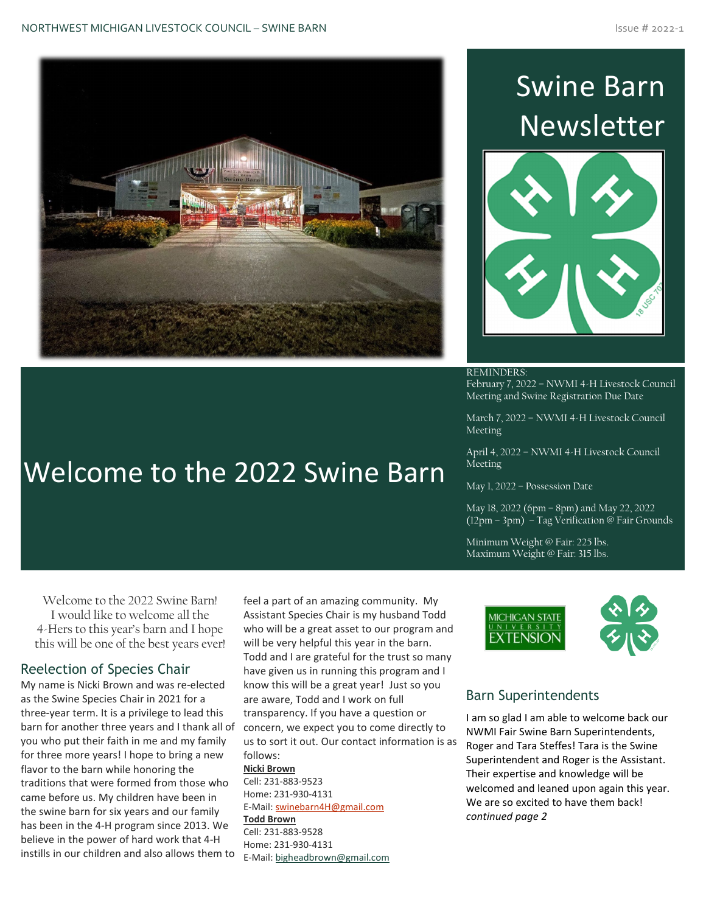

Welcome to the 2022 Swine Barn

# Swine Barn Newsletter



REMINDERS: February 7, 2022 – NWMI 4-H Livestock Council

March 7, 2022 – NWMI 4-H Livestock Council

Meeting and Swine Registration Due Date

Meeting

April 4, 2022 – NWMI 4-H Livestock Council Meeting

May 1, 2022 – Possession Date

May 18, 2022 (6pm – 8pm) and May 22, 2022 (12pm – 3pm) – Tag Verification @ Fair Grounds

Minimum Weight @ Fair: 225 lbs. Maximum Weight @ Fair: 315 lbs.



## Barn Superintendents

I am so glad I am able to welcome back our NWMI Fair Swine Barn Superintendents, Roger and Tara Steffes! Tara is the Swine Superintendent and Roger is the Assistant. Their expertise and knowledge will be welcomed and leaned upon again this year. We are so excited to have them back! *continued page 2*

Welcome to the 2022 Swine Barn! I would like to welcome all the 4-Hers to this year's barn and I hope this will be one of the best years ever!

## Reelection of Species Chair

My name is Nicki Brown and was re-elected as the Swine Species Chair in 2021 for a three-year term. It is a privilege to lead this barn for another three years and I thank all of you who put their faith in me and my family for three more years! I hope to bring a new flavor to the barn while honoring the traditions that were formed from those who came before us. My children have been in the swine barn for six years and our family has been in the 4-H program since 2013. We believe in the power of hard work that 4-H instills in our children and also allows them to

feel a part of an amazing community. My Assistant Species Chair is my husband Todd who will be a great asset to our program and will be very helpful this year in the barn. Todd and I are grateful for the trust so many have given us in running this program and I know this will be a great year! Just so you are aware, Todd and I work on full transparency. If you have a question or concern, we expect you to come directly to us to sort it out. Our contact information is as follows:

### **Nicki Brown**

Cell: 231-883-9523 Home: 231-930-4131 E-Mail: [swinebarn4H@gmail.com](mailto:swinebarn4H@gmail.com) **Todd Brown**

Cell: 231-883-9528 Home: 231-930-4131 E-Mail: [bigheadbrown@gmail.com](mailto:bigheadbrown@gmail.com)